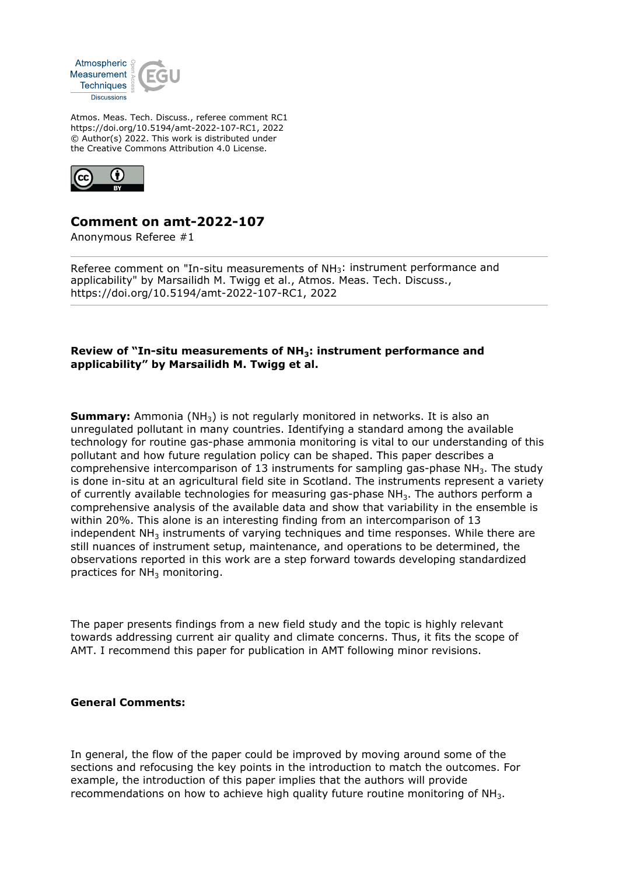

Atmos. Meas. Tech. Discuss., referee comment RC1 https://doi.org/10.5194/amt-2022-107-RC1, 2022 © Author(s) 2022. This work is distributed under the Creative Commons Attribution 4.0 License.



## **Comment on amt-2022-107**

Anonymous Referee #1

Referee comment on "In-situ measurements of NH3: instrument performance and applicability" by Marsailidh M. Twigg et al., Atmos. Meas. Tech. Discuss., https://doi.org/10.5194/amt-2022-107-RC1, 2022

## **Review of "In-situ measurements of NH3: instrument performance and applicability" by Marsailidh M. Twigg et al.**

**Summary:** Ammonia (NH<sub>3</sub>) is not regularly monitored in networks. It is also an unregulated pollutant in many countries. Identifying a standard among the available technology for routine gas-phase ammonia monitoring is vital to our understanding of this pollutant and how future regulation policy can be shaped. This paper describes a comprehensive intercomparison of 13 instruments for sampling gas-phase NH<sub>3</sub>. The study is done in-situ at an agricultural field site in Scotland. The instruments represent a variety of currently available technologies for measuring gas-phase  $NH<sub>3</sub>$ . The authors perform a comprehensive analysis of the available data and show that variability in the ensemble is within 20%. This alone is an interesting finding from an intercomparison of 13 independent  $NH<sub>3</sub>$  instruments of varying techniques and time responses. While there are still nuances of instrument setup, maintenance, and operations to be determined, the observations reported in this work are a step forward towards developing standardized practices for  $NH<sub>3</sub>$  monitoring.

The paper presents findings from a new field study and the topic is highly relevant towards addressing current air quality and climate concerns. Thus, it fits the scope of AMT. I recommend this paper for publication in AMT following minor revisions.

## **General Comments:**

In general, the flow of the paper could be improved by moving around some of the sections and refocusing the key points in the introduction to match the outcomes. For example, the introduction of this paper implies that the authors will provide recommendations on how to achieve high quality future routine monitoring of NH3.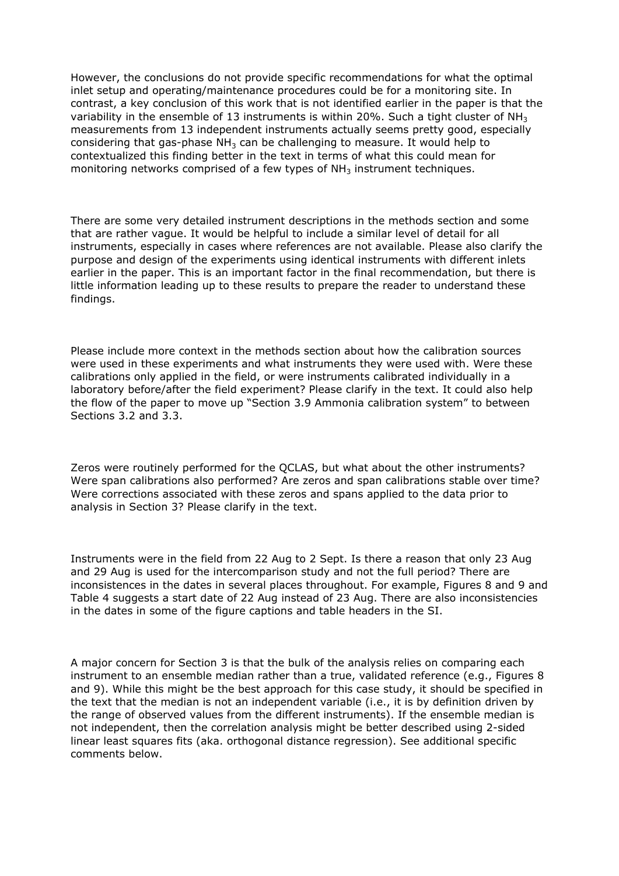However, the conclusions do not provide specific recommendations for what the optimal inlet setup and operating/maintenance procedures could be for a monitoring site. In contrast, a key conclusion of this work that is not identified earlier in the paper is that the variability in the ensemble of 13 instruments is within 20%. Such a tight cluster of  $NH<sub>3</sub>$ measurements from 13 independent instruments actually seems pretty good, especially considering that gas-phase  $NH<sub>3</sub>$  can be challenging to measure. It would help to contextualized this finding better in the text in terms of what this could mean for monitoring networks comprised of a few types of  $NH<sub>3</sub>$  instrument techniques.

There are some very detailed instrument descriptions in the methods section and some that are rather vague. It would be helpful to include a similar level of detail for all instruments, especially in cases where references are not available. Please also clarify the purpose and design of the experiments using identical instruments with different inlets earlier in the paper. This is an important factor in the final recommendation, but there is little information leading up to these results to prepare the reader to understand these findings.

Please include more context in the methods section about how the calibration sources were used in these experiments and what instruments they were used with. Were these calibrations only applied in the field, or were instruments calibrated individually in a laboratory before/after the field experiment? Please clarify in the text. It could also help the flow of the paper to move up "Section 3.9 Ammonia calibration system" to between Sections 3.2 and 3.3.

Zeros were routinely performed for the QCLAS, but what about the other instruments? Were span calibrations also performed? Are zeros and span calibrations stable over time? Were corrections associated with these zeros and spans applied to the data prior to analysis in Section 3? Please clarify in the text.

Instruments were in the field from 22 Aug to 2 Sept. Is there a reason that only 23 Aug and 29 Aug is used for the intercomparison study and not the full period? There are inconsistences in the dates in several places throughout. For example, Figures 8 and 9 and Table 4 suggests a start date of 22 Aug instead of 23 Aug. There are also inconsistencies in the dates in some of the figure captions and table headers in the SI.

A major concern for Section 3 is that the bulk of the analysis relies on comparing each instrument to an ensemble median rather than a true, validated reference (e.g., Figures 8 and 9). While this might be the best approach for this case study, it should be specified in the text that the median is not an independent variable (i.e., it is by definition driven by the range of observed values from the different instruments). If the ensemble median is not independent, then the correlation analysis might be better described using 2-sided linear least squares fits (aka. orthogonal distance regression). See additional specific comments below.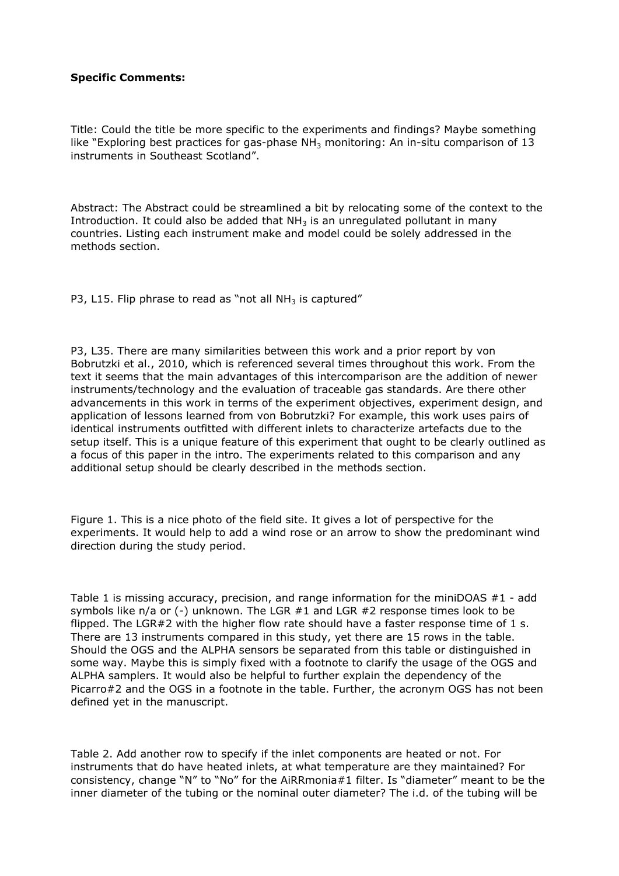## **Specific Comments:**

Title: Could the title be more specific to the experiments and findings? Maybe something like "Exploring best practices for gas-phase  $NH<sub>3</sub>$  monitoring: An in-situ comparison of 13 instruments in Southeast Scotland".

Abstract: The Abstract could be streamlined a bit by relocating some of the context to the Introduction. It could also be added that  $NH<sub>3</sub>$  is an unregulated pollutant in many countries. Listing each instrument make and model could be solely addressed in the methods section.

P3, L15. Flip phrase to read as "not all  $NH<sub>3</sub>$  is captured"

P3, L35. There are many similarities between this work and a prior report by von Bobrutzki et al., 2010, which is referenced several times throughout this work. From the text it seems that the main advantages of this intercomparison are the addition of newer instruments/technology and the evaluation of traceable gas standards. Are there other advancements in this work in terms of the experiment objectives, experiment design, and application of lessons learned from von Bobrutzki? For example, this work uses pairs of identical instruments outfitted with different inlets to characterize artefacts due to the setup itself. This is a unique feature of this experiment that ought to be clearly outlined as a focus of this paper in the intro. The experiments related to this comparison and any additional setup should be clearly described in the methods section.

Figure 1. This is a nice photo of the field site. It gives a lot of perspective for the experiments. It would help to add a wind rose or an arrow to show the predominant wind direction during the study period.

Table 1 is missing accuracy, precision, and range information for the miniDOAS #1 - add symbols like n/a or (-) unknown. The LGR #1 and LGR #2 response times look to be flipped. The LGR#2 with the higher flow rate should have a faster response time of  $1 \text{ s}$ . There are 13 instruments compared in this study, yet there are 15 rows in the table. Should the OGS and the ALPHA sensors be separated from this table or distinguished in some way. Maybe this is simply fixed with a footnote to clarify the usage of the OGS and ALPHA samplers. It would also be helpful to further explain the dependency of the Picarro#2 and the OGS in a footnote in the table. Further, the acronym OGS has not been defined yet in the manuscript.

Table 2. Add another row to specify if the inlet components are heated or not. For instruments that do have heated inlets, at what temperature are they maintained? For consistency, change "N" to "No" for the AiRRmonia#1 filter. Is "diameter" meant to be the inner diameter of the tubing or the nominal outer diameter? The i.d. of the tubing will be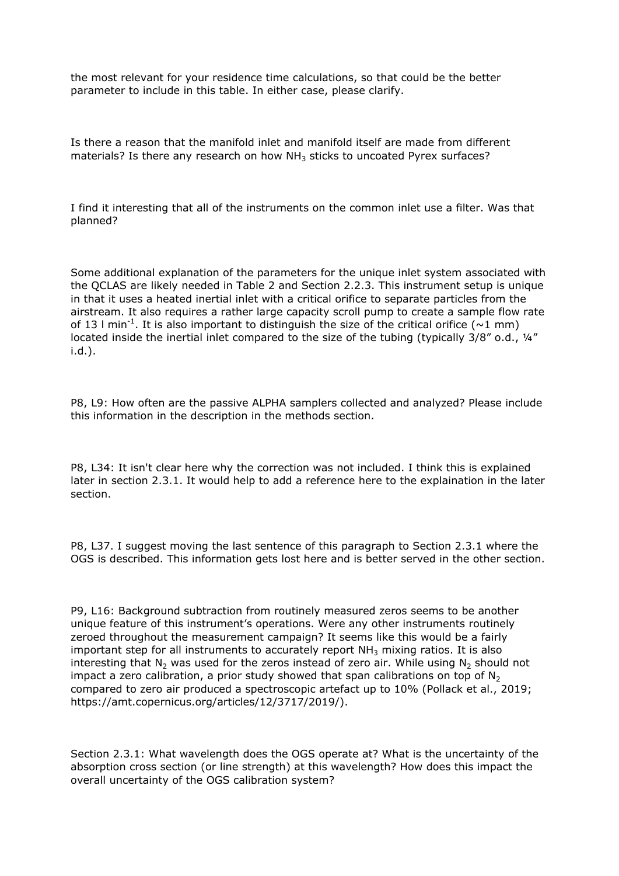the most relevant for your residence time calculations, so that could be the better parameter to include in this table. In either case, please clarify.

Is there a reason that the manifold inlet and manifold itself are made from different materials? Is there any research on how NH<sub>3</sub> sticks to uncoated Pyrex surfaces?

I find it interesting that all of the instruments on the common inlet use a filter. Was that planned?

Some additional explanation of the parameters for the unique inlet system associated with the QCLAS are likely needed in Table 2 and Section 2.2.3. This instrument setup is unique in that it uses a heated inertial inlet with a critical orifice to separate particles from the airstream. It also requires a rather large capacity scroll pump to create a sample flow rate of 13 l min<sup>-1</sup>. It is also important to distinguish the size of the critical orifice ( $\sim$ 1 mm) located inside the inertial inlet compared to the size of the tubing (typically 3/8" o.d., 1/4" i.d.).

P8, L9: How often are the passive ALPHA samplers collected and analyzed? Please include this information in the description in the methods section.

P8, L34: It isn't clear here why the correction was not included. I think this is explained later in section 2.3.1. It would help to add a reference here to the explaination in the later section.

P8, L37. I suggest moving the last sentence of this paragraph to Section 2.3.1 where the OGS is described. This information gets lost here and is better served in the other section.

P9, L16: Background subtraction from routinely measured zeros seems to be another unique feature of this instrument's operations. Were any other instruments routinely zeroed throughout the measurement campaign? It seems like this would be a fairly important step for all instruments to accurately report  $NH<sub>3</sub>$  mixing ratios. It is also interesting that  $N_2$  was used for the zeros instead of zero air. While using  $N_2$  should not impact a zero calibration, a prior study showed that span calibrations on top of  $N_2$ compared to zero air produced a spectroscopic artefact up to 10% (Pollack et al., 2019; https://amt.copernicus.org/articles/12/3717/2019/).

Section 2.3.1: What wavelength does the OGS operate at? What is the uncertainty of the absorption cross section (or line strength) at this wavelength? How does this impact the overall uncertainty of the OGS calibration system?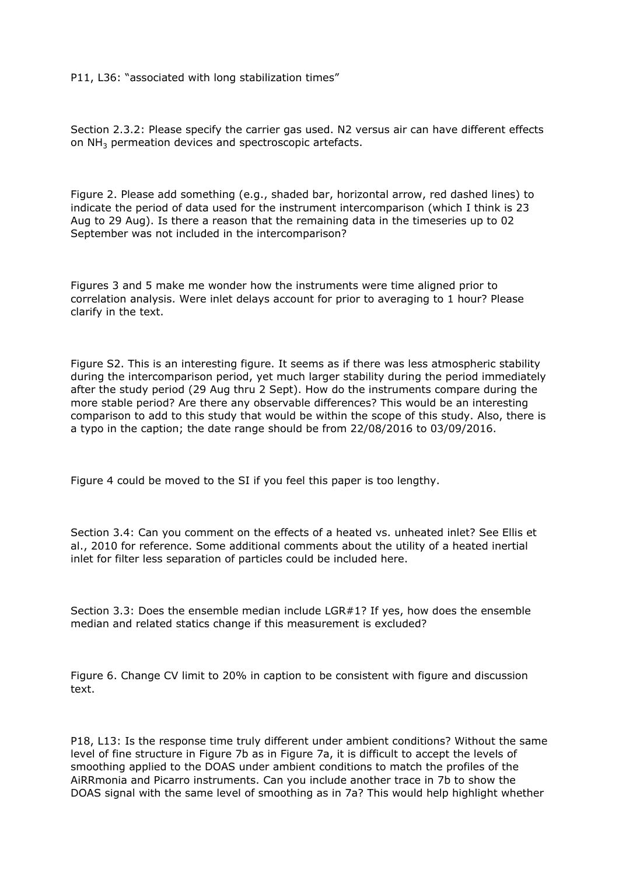P11, L36: "associated with long stabilization times"

Section 2.3.2: Please specify the carrier gas used. N2 versus air can have different effects on NH<sub>3</sub> permeation devices and spectroscopic artefacts.

Figure 2. Please add something (e.g., shaded bar, horizontal arrow, red dashed lines) to indicate the period of data used for the instrument intercomparison (which I think is 23 Aug to 29 Aug). Is there a reason that the remaining data in the timeseries up to 02 September was not included in the intercomparison?

Figures 3 and 5 make me wonder how the instruments were time aligned prior to correlation analysis. Were inlet delays account for prior to averaging to 1 hour? Please clarify in the text.

Figure S2. This is an interesting figure. It seems as if there was less atmospheric stability during the intercomparison period, yet much larger stability during the period immediately after the study period (29 Aug thru 2 Sept). How do the instruments compare during the more stable period? Are there any observable differences? This would be an interesting comparison to add to this study that would be within the scope of this study. Also, there is a typo in the caption; the date range should be from 22/08/2016 to 03/09/2016.

Figure 4 could be moved to the SI if you feel this paper is too lengthy.

Section 3.4: Can you comment on the effects of a heated vs. unheated inlet? See Ellis et al., 2010 for reference. Some additional comments about the utility of a heated inertial inlet for filter less separation of particles could be included here.

Section 3.3: Does the ensemble median include LGR#1? If yes, how does the ensemble median and related statics change if this measurement is excluded?

Figure 6. Change CV limit to 20% in caption to be consistent with figure and discussion text.

P18, L13: Is the response time truly different under ambient conditions? Without the same level of fine structure in Figure 7b as in Figure 7a, it is difficult to accept the levels of smoothing applied to the DOAS under ambient conditions to match the profiles of the AiRRmonia and Picarro instruments. Can you include another trace in 7b to show the DOAS signal with the same level of smoothing as in 7a? This would help highlight whether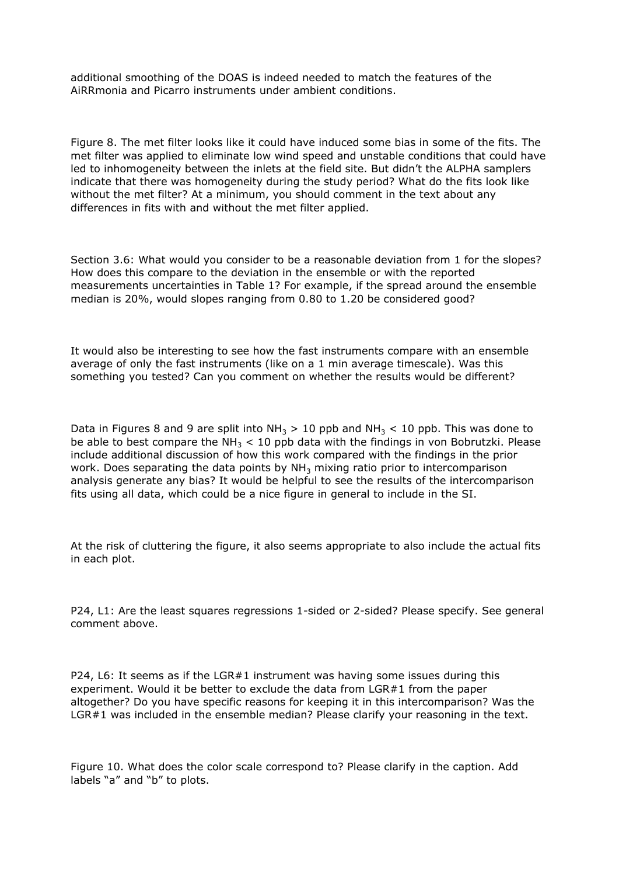additional smoothing of the DOAS is indeed needed to match the features of the AiRRmonia and Picarro instruments under ambient conditions.

Figure 8. The met filter looks like it could have induced some bias in some of the fits. The met filter was applied to eliminate low wind speed and unstable conditions that could have led to inhomogeneity between the inlets at the field site. But didn't the ALPHA samplers indicate that there was homogeneity during the study period? What do the fits look like without the met filter? At a minimum, you should comment in the text about any differences in fits with and without the met filter applied.

Section 3.6: What would you consider to be a reasonable deviation from 1 for the slopes? How does this compare to the deviation in the ensemble or with the reported measurements uncertainties in Table 1? For example, if the spread around the ensemble median is 20%, would slopes ranging from 0.80 to 1.20 be considered good?

It would also be interesting to see how the fast instruments compare with an ensemble average of only the fast instruments (like on a 1 min average timescale). Was this something you tested? Can you comment on whether the results would be different?

Data in Figures 8 and 9 are split into  $NH_3 > 10$  ppb and  $NH_3 < 10$  ppb. This was done to be able to best compare the  $NH_3 < 10$  ppb data with the findings in von Bobrutzki. Please include additional discussion of how this work compared with the findings in the prior work. Does separating the data points by  $NH<sub>3</sub>$  mixing ratio prior to intercomparison analysis generate any bias? It would be helpful to see the results of the intercomparison fits using all data, which could be a nice figure in general to include in the SI.

At the risk of cluttering the figure, it also seems appropriate to also include the actual fits in each plot.

P24, L1: Are the least squares regressions 1-sided or 2-sided? Please specify. See general comment above.

P24, L6: It seems as if the LGR#1 instrument was having some issues during this experiment. Would it be better to exclude the data from LGR#1 from the paper altogether? Do you have specific reasons for keeping it in this intercomparison? Was the LGR#1 was included in the ensemble median? Please clarify your reasoning in the text.

Figure 10. What does the color scale correspond to? Please clarify in the caption. Add labels "a" and "b" to plots.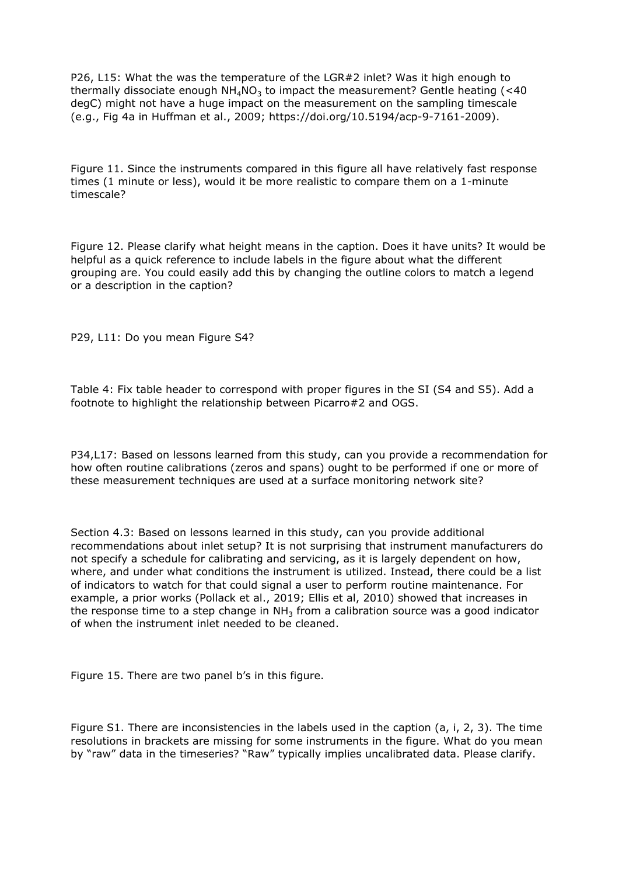P26, L15: What the was the temperature of the LGR#2 inlet? Was it high enough to thermally dissociate enough  $NH<sub>4</sub>NO<sub>3</sub>$  to impact the measurement? Gentle heating (<40 degC) might not have a huge impact on the measurement on the sampling timescale (e.g., Fig 4a in Huffman et al., 2009; https://doi.org/10.5194/acp-9-7161-2009).

Figure 11. Since the instruments compared in this figure all have relatively fast response times (1 minute or less), would it be more realistic to compare them on a 1-minute timescale?

Figure 12. Please clarify what height means in the caption. Does it have units? It would be helpful as a quick reference to include labels in the figure about what the different grouping are. You could easily add this by changing the outline colors to match a legend or a description in the caption?

P29, L11: Do you mean Figure S4?

Table 4: Fix table header to correspond with proper figures in the SI (S4 and S5). Add a footnote to highlight the relationship between Picarro#2 and OGS.

P34,L17: Based on lessons learned from this study, can you provide a recommendation for how often routine calibrations (zeros and spans) ought to be performed if one or more of these measurement techniques are used at a surface monitoring network site?

Section 4.3: Based on lessons learned in this study, can you provide additional recommendations about inlet setup? It is not surprising that instrument manufacturers do not specify a schedule for calibrating and servicing, as it is largely dependent on how, where, and under what conditions the instrument is utilized. Instead, there could be a list of indicators to watch for that could signal a user to perform routine maintenance. For example, a prior works (Pollack et al., 2019; Ellis et al, 2010) showed that increases in the response time to a step change in  $NH<sub>3</sub>$  from a calibration source was a good indicator of when the instrument inlet needed to be cleaned.

Figure 15. There are two panel b's in this figure.

Figure S1. There are inconsistencies in the labels used in the caption (a, i, 2, 3). The time resolutions in brackets are missing for some instruments in the figure. What do you mean by "raw" data in the timeseries? "Raw" typically implies uncalibrated data. Please clarify.